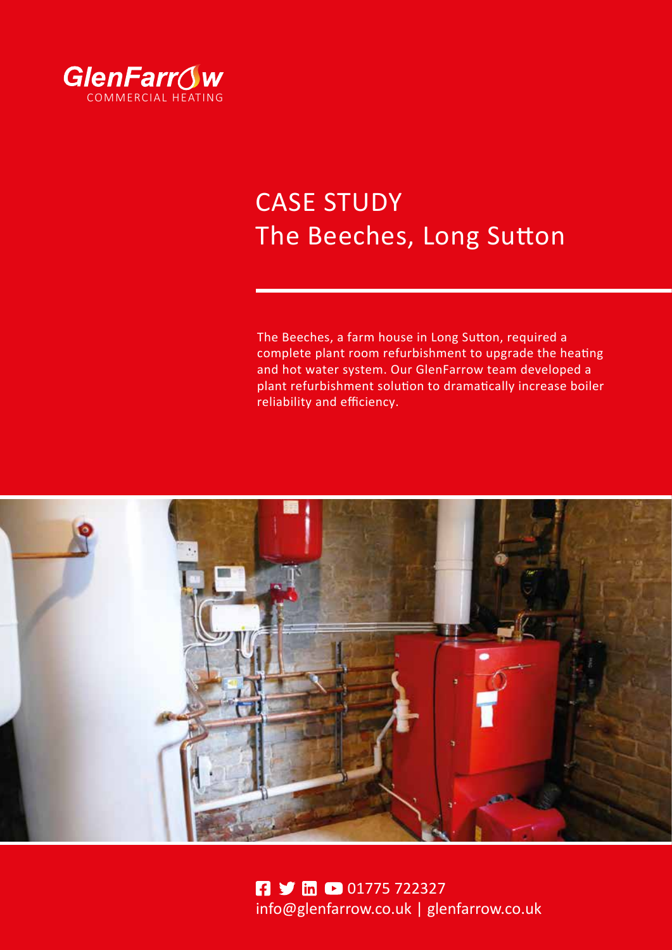

# CASE STUDY The Beeches, Long Sutton

The Beeches, a farm house in Long Sutton, required a complete plant room refurbishment to upgrade the heating and hot water system. Our GlenFarrow team developed a plant refurbishment solution to dramatically increase boiler reliability and efficiency.



**01775722327** info@glenfarrow.co.uk | [glenfarrow.co.uk](https://glenfarrow.co.uk/)